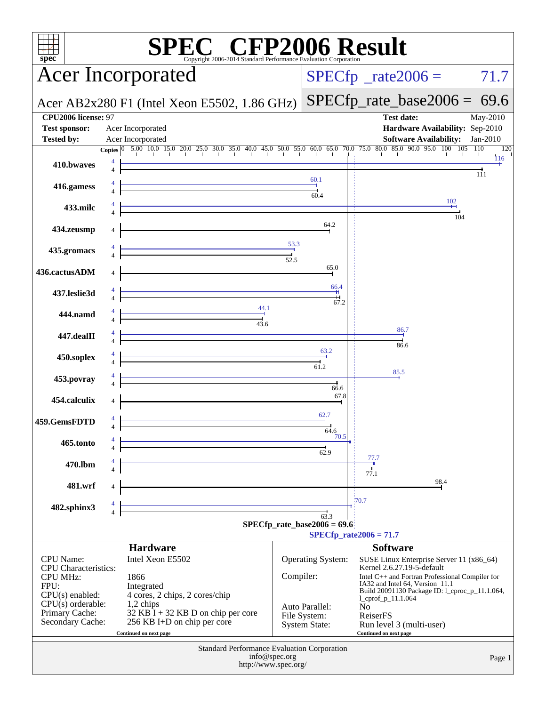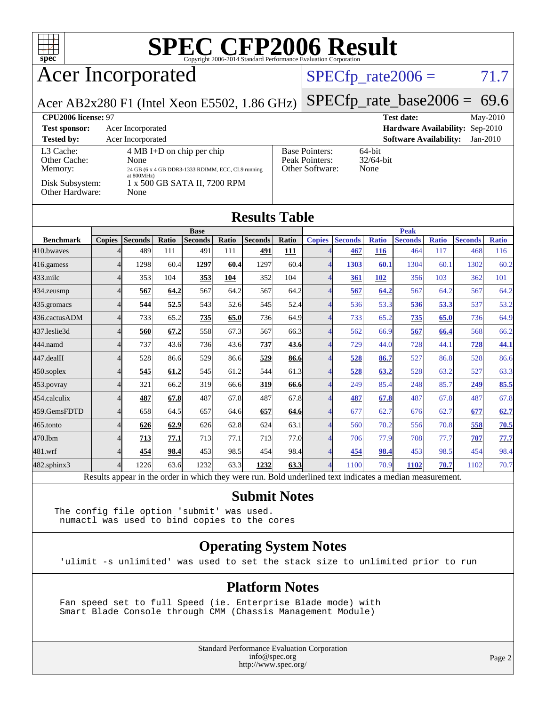

## Acer Incorporated

#### $SPECTp_rate2006 = 71.7$

Acer AB2x280 F1 (Intel Xeon E5502, 1.86 GHz)

[SPECfp\\_rate\\_base2006 =](http://www.spec.org/auto/cpu2006/Docs/result-fields.html#SPECfpratebase2006) 69.6

| CPU <sub>2006</sub> license: 97      |                                                                                                                   |                                                            | <b>Test date:</b><br>$\text{May-}2010$      |
|--------------------------------------|-------------------------------------------------------------------------------------------------------------------|------------------------------------------------------------|---------------------------------------------|
| <b>Test sponsor:</b>                 | Acer Incorporated                                                                                                 |                                                            | <b>Hardware Availability: Sep-2010</b>      |
| <b>Tested by:</b>                    | Acer Incorporated                                                                                                 |                                                            | <b>Software Availability:</b><br>$Jan-2010$ |
| L3 Cache:<br>Other Cache:<br>Memory: | $4 \text{ MB I+D}$ on chip per chip<br>None<br>24 GB (6 x 4 GB DDR3-1333 RDIMM, ECC, CL9 running<br>at $800MHz$ ) | <b>Base Pointers:</b><br>Peak Pointers:<br>Other Software: | $64$ -bit<br>$32/64$ -bit<br>None           |
| Disk Subsystem:<br>Other Hardware:   | 1 x 500 GB SATA II, 7200 RPM<br>None                                                                              |                                                            |                                             |

| <b>Results Table</b> |  |
|----------------------|--|
|----------------------|--|

|                  | <b>Peak</b><br><b>Base</b> |                 |              |                |       |                |              |               |                             |              |                |              |                |              |
|------------------|----------------------------|-----------------|--------------|----------------|-------|----------------|--------------|---------------|-----------------------------|--------------|----------------|--------------|----------------|--------------|
| <b>Benchmark</b> | <b>Copies</b>              | <b>Seconds</b>  | Ratio        | <b>Seconds</b> | Ratio | <b>Seconds</b> | <b>Ratio</b> | <b>Copies</b> | <b>Seconds</b>              | <b>Ratio</b> | <b>Seconds</b> | <b>Ratio</b> | <b>Seconds</b> | <b>Ratio</b> |
| 410.bwayes       |                            | 489             | 111          | 491            | 111   | 491            | 111          |               | 467                         | <b>116</b>   | 464            | 117          | 468            | 116          |
| 416.gamess       | 4                          | 1298            | 60.4         | 1297           | 60.4  | 1297           | 60.4         |               | 1303                        | 60.1         | 1304           | 60.1         | 1302           | 60.2         |
| $433$ .milc      |                            | 353             | 104          | 353            | 104   | 352            | 104          |               | 361                         | 102          | 356            | 103          | 362            | 101          |
| 434.zeusmp       |                            | 567             | 64.2         | 567            | 64.2  | 567            | 64.2         |               | 567                         | 64.2         | 567            | 64.2         | 567            | 64.2         |
| 435.gromacs      |                            | 544             | 52.5         | 543            | 52.6  | 545            | 52.4         |               | 536                         | 53.3         | 536            | 53.3         | 537            | 53.2         |
| 436.cactusADM    |                            | 733             | 65.2         | 735            | 65.0  | 736            | 64.9         |               | 733                         | 65.2         | 735            | 65.0         | 736            | 64.9         |
| 437.leslie3d     |                            | 560             | 67.2         | 558            | 67.3  | 567            | 66.3         |               | 562                         | 66.9         | 567            | 66.4         | 568            | 66.2         |
| 444.namd         |                            | 737             | 43.6         | 736            | 43.6  | <u>737</u>     | 43.6         |               | 729                         | 44.0         | 728            | 44.1         | 728            | <u>44.1</u>  |
| 447.dealII       |                            | 528             | 86.6         | 529            | 86.6  | 529            | 86.6         |               | 528                         | 86.7         | 527            | 86.8         | 528            | 86.6         |
| $450$ .soplex    |                            | 545             | 61.2         | 545            | 61.2  | 544            | 61.3         |               | 528                         | 63.2         | 528            | 63.2         | 527            | 63.3         |
| $453$ . povray   | Δ                          | 321             | 66.2         | 319            | 66.6  | 319            | 66.6         |               | 249                         | 85.4         | 248            | 85.7         | 249            | 85.5         |
| 454.calculix     | 4                          | 487             | 67.8         | 487            | 67.8  | 487            | 67.8         |               | 487                         | 67.8         | 487            | 67.8         | 487            | 67.8         |
| 459.GemsFDTD     | 4                          | 658             | 64.5         | 657            | 64.6  | 657            | 64.6         | 4             | 677                         | 62.7         | 676            | 62.7         | 677            | 62.7         |
| $465$ .tonto     |                            | 626             | 62.9         | 626            | 62.8  | 624            | 63.1         |               | 560                         | 70.2         | 556            | 70.8         | 558            | 70.5         |
| 470.1bm          |                            | 713             | 77.1         | 713            | 77.1  | 713            | 77.0         |               | 706                         | 77.9         | 708            | 77.7         | 707            | 77.7         |
| 481.wrf          |                            | 454             | 98.4         | 453            | 98.5  | 454            | 98.4         |               | 454                         | 98.4         | 453            | 98.5         | 454            | 98.4         |
| 482.sphinx3      |                            | 1226            | 63.6         | 1232           | 63.3  | 1232           | 63.3         | Δ             | 1100                        | 70.9         | 1102           | 70.7         | 1102           | 70.7         |
| $\mathbf{r}$     | $\mathbf{1}$ .             | $\cdot$ $\cdot$ | $\mathbf{I}$ | 1.1.1.1        |       |                | $T = 1.1$    | 1.11          | $\sim$ $\sim$ $\sim$ $\sim$ |              |                |              |                |              |

Results appear in the [order in which they were run.](http://www.spec.org/auto/cpu2006/Docs/result-fields.html#RunOrder) Bold underlined text [indicates a median measurement.](http://www.spec.org/auto/cpu2006/Docs/result-fields.html#Median)

#### **[Submit Notes](http://www.spec.org/auto/cpu2006/Docs/result-fields.html#SubmitNotes)**

The config file option 'submit' was used. numactl was used to bind copies to the cores

#### **[Operating System Notes](http://www.spec.org/auto/cpu2006/Docs/result-fields.html#OperatingSystemNotes)**

'ulimit -s unlimited' was used to set the stack size to unlimited prior to run

#### **[Platform Notes](http://www.spec.org/auto/cpu2006/Docs/result-fields.html#PlatformNotes)**

 Fan speed set to full Speed (ie. Enterprise Blade mode) with Smart Blade Console through CMM (Chassis Management Module)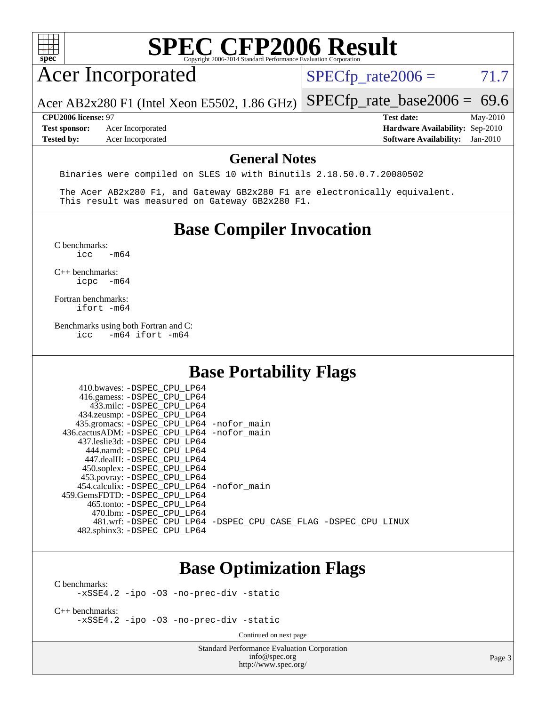| ۹<br>I<br>÷ |  |  |  |  |  |
|-------------|--|--|--|--|--|

## Acer Incorporated

 $SPECTp_rate2006 = 71.7$ 

Acer AB2x280 F1 (Intel Xeon E5502, 1.86 GHz) [SPECfp\\_rate\\_base2006 =](http://www.spec.org/auto/cpu2006/Docs/result-fields.html#SPECfpratebase2006) 69.6

**[Tested by:](http://www.spec.org/auto/cpu2006/Docs/result-fields.html#Testedby)** Acer Incorporated **[Software Availability:](http://www.spec.org/auto/cpu2006/Docs/result-fields.html#SoftwareAvailability)** Jan-2010

**[CPU2006 license:](http://www.spec.org/auto/cpu2006/Docs/result-fields.html#CPU2006license)** 97 **[Test date:](http://www.spec.org/auto/cpu2006/Docs/result-fields.html#Testdate)** May-2010 **[Test sponsor:](http://www.spec.org/auto/cpu2006/Docs/result-fields.html#Testsponsor)** Acer Incorporated **[Hardware Availability:](http://www.spec.org/auto/cpu2006/Docs/result-fields.html#HardwareAvailability)** Sep-2010

#### **[General Notes](http://www.spec.org/auto/cpu2006/Docs/result-fields.html#GeneralNotes)**

Binaries were compiled on SLES 10 with Binutils 2.18.50.0.7.20080502

 The Acer AB2x280 F1, and Gateway GB2x280 F1 are electronically equivalent. This result was measured on Gateway GB2x280 F1.

### **[Base Compiler Invocation](http://www.spec.org/auto/cpu2006/Docs/result-fields.html#BaseCompilerInvocation)**

 $C$  benchmarks:<br>icc  $-m64$ 

[C++ benchmarks:](http://www.spec.org/auto/cpu2006/Docs/result-fields.html#CXXbenchmarks) [icpc -m64](http://www.spec.org/cpu2006/results/res2010q3/cpu2006-20100715-12404.flags.html#user_CXXbase_intel_icpc_64bit_bedb90c1146cab66620883ef4f41a67e)

[Fortran benchmarks](http://www.spec.org/auto/cpu2006/Docs/result-fields.html#Fortranbenchmarks): [ifort -m64](http://www.spec.org/cpu2006/results/res2010q3/cpu2006-20100715-12404.flags.html#user_FCbase_intel_ifort_64bit_ee9d0fb25645d0210d97eb0527dcc06e)

[Benchmarks using both Fortran and C](http://www.spec.org/auto/cpu2006/Docs/result-fields.html#BenchmarksusingbothFortranandC):<br>icc -m64 ifort -m64  $-m64$  ifort  $-m64$ 

 $410 \text{ hwayes: } -$ DSPEC\_CPU\_LP64

### **[Base Portability Flags](http://www.spec.org/auto/cpu2006/Docs/result-fields.html#BasePortabilityFlags)**

| HIV.DWAVCS. DOLEC CLO HIVI                   |                                                                |
|----------------------------------------------|----------------------------------------------------------------|
| 416.gamess: -DSPEC_CPU_LP64                  |                                                                |
| 433.milc: -DSPEC CPU LP64                    |                                                                |
| 434.zeusmp: -DSPEC_CPU_LP64                  |                                                                |
| 435.gromacs: -DSPEC_CPU_LP64 -nofor_main     |                                                                |
| 436.cactusADM: - DSPEC CPU LP64 - nofor main |                                                                |
| 437.leslie3d: -DSPEC CPU LP64                |                                                                |
| 444.namd: -DSPEC CPU LP64                    |                                                                |
| 447.dealII: -DSPEC CPU LP64                  |                                                                |
| 450.soplex: -DSPEC_CPU_LP64                  |                                                                |
| 453.povray: -DSPEC_CPU_LP64                  |                                                                |
| 454.calculix: -DSPEC CPU LP64 -nofor main    |                                                                |
| 459. GemsFDTD: - DSPEC CPU LP64              |                                                                |
| 465.tonto: - DSPEC CPU LP64                  |                                                                |
| 470.1bm: -DSPEC_CPU LP64                     |                                                                |
|                                              | 481.wrf: -DSPEC CPU_LP64 -DSPEC_CPU_CASE_FLAG -DSPEC_CPU_LINUX |
| 482.sphinx3: -DSPEC_CPU_LP64                 |                                                                |
|                                              |                                                                |

### **[Base Optimization Flags](http://www.spec.org/auto/cpu2006/Docs/result-fields.html#BaseOptimizationFlags)**

[C benchmarks](http://www.spec.org/auto/cpu2006/Docs/result-fields.html#Cbenchmarks):

[-xSSE4.2](http://www.spec.org/cpu2006/results/res2010q3/cpu2006-20100715-12404.flags.html#user_CCbase_f-xSSE42_f91528193cf0b216347adb8b939d4107) [-ipo](http://www.spec.org/cpu2006/results/res2010q3/cpu2006-20100715-12404.flags.html#user_CCbase_f-ipo) [-O3](http://www.spec.org/cpu2006/results/res2010q3/cpu2006-20100715-12404.flags.html#user_CCbase_f-O3) [-no-prec-div](http://www.spec.org/cpu2006/results/res2010q3/cpu2006-20100715-12404.flags.html#user_CCbase_f-no-prec-div) [-static](http://www.spec.org/cpu2006/results/res2010q3/cpu2006-20100715-12404.flags.html#user_CCbase_f-static)

[C++ benchmarks:](http://www.spec.org/auto/cpu2006/Docs/result-fields.html#CXXbenchmarks) [-xSSE4.2](http://www.spec.org/cpu2006/results/res2010q3/cpu2006-20100715-12404.flags.html#user_CXXbase_f-xSSE42_f91528193cf0b216347adb8b939d4107) [-ipo](http://www.spec.org/cpu2006/results/res2010q3/cpu2006-20100715-12404.flags.html#user_CXXbase_f-ipo) [-O3](http://www.spec.org/cpu2006/results/res2010q3/cpu2006-20100715-12404.flags.html#user_CXXbase_f-O3) [-no-prec-div](http://www.spec.org/cpu2006/results/res2010q3/cpu2006-20100715-12404.flags.html#user_CXXbase_f-no-prec-div) [-static](http://www.spec.org/cpu2006/results/res2010q3/cpu2006-20100715-12404.flags.html#user_CXXbase_f-static)

Continued on next page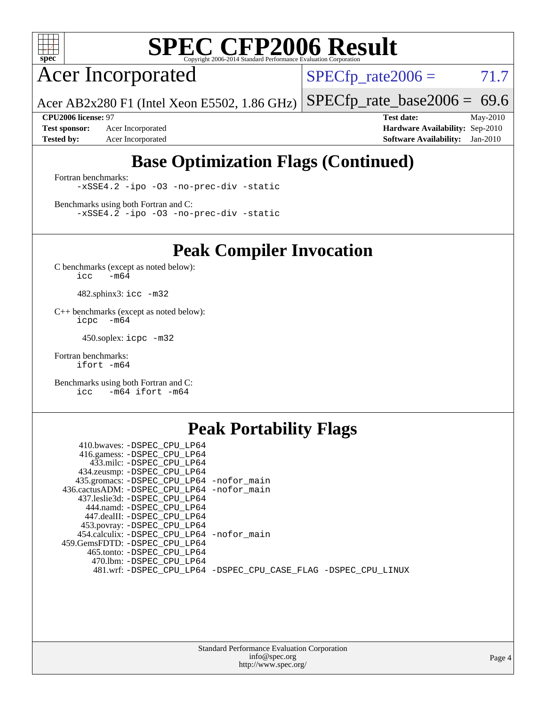

Acer Incorporated

 $SPECTp_rate2006 = 71.7$ 

Acer AB2x280 F1 (Intel Xeon E5502, 1.86 GHz) [SPECfp\\_rate\\_base2006 =](http://www.spec.org/auto/cpu2006/Docs/result-fields.html#SPECfpratebase2006) 69.6

**[Test sponsor:](http://www.spec.org/auto/cpu2006/Docs/result-fields.html#Testsponsor)** Acer Incorporated **[Hardware Availability:](http://www.spec.org/auto/cpu2006/Docs/result-fields.html#HardwareAvailability)** Sep-2010

**[CPU2006 license:](http://www.spec.org/auto/cpu2006/Docs/result-fields.html#CPU2006license)** 97 **[Test date:](http://www.spec.org/auto/cpu2006/Docs/result-fields.html#Testdate)** May-2010 **[Tested by:](http://www.spec.org/auto/cpu2006/Docs/result-fields.html#Testedby)** Acer Incorporated **[Software Availability:](http://www.spec.org/auto/cpu2006/Docs/result-fields.html#SoftwareAvailability)** Jan-2010

## **[Base Optimization Flags \(Continued\)](http://www.spec.org/auto/cpu2006/Docs/result-fields.html#BaseOptimizationFlags)**

[Fortran benchmarks](http://www.spec.org/auto/cpu2006/Docs/result-fields.html#Fortranbenchmarks): [-xSSE4.2](http://www.spec.org/cpu2006/results/res2010q3/cpu2006-20100715-12404.flags.html#user_FCbase_f-xSSE42_f91528193cf0b216347adb8b939d4107) [-ipo](http://www.spec.org/cpu2006/results/res2010q3/cpu2006-20100715-12404.flags.html#user_FCbase_f-ipo) [-O3](http://www.spec.org/cpu2006/results/res2010q3/cpu2006-20100715-12404.flags.html#user_FCbase_f-O3) [-no-prec-div](http://www.spec.org/cpu2006/results/res2010q3/cpu2006-20100715-12404.flags.html#user_FCbase_f-no-prec-div) [-static](http://www.spec.org/cpu2006/results/res2010q3/cpu2006-20100715-12404.flags.html#user_FCbase_f-static)

[Benchmarks using both Fortran and C](http://www.spec.org/auto/cpu2006/Docs/result-fields.html#BenchmarksusingbothFortranandC): [-xSSE4.2](http://www.spec.org/cpu2006/results/res2010q3/cpu2006-20100715-12404.flags.html#user_CC_FCbase_f-xSSE42_f91528193cf0b216347adb8b939d4107) [-ipo](http://www.spec.org/cpu2006/results/res2010q3/cpu2006-20100715-12404.flags.html#user_CC_FCbase_f-ipo) [-O3](http://www.spec.org/cpu2006/results/res2010q3/cpu2006-20100715-12404.flags.html#user_CC_FCbase_f-O3) [-no-prec-div](http://www.spec.org/cpu2006/results/res2010q3/cpu2006-20100715-12404.flags.html#user_CC_FCbase_f-no-prec-div) [-static](http://www.spec.org/cpu2006/results/res2010q3/cpu2006-20100715-12404.flags.html#user_CC_FCbase_f-static)

**[Peak Compiler Invocation](http://www.spec.org/auto/cpu2006/Docs/result-fields.html#PeakCompilerInvocation)**

[C benchmarks \(except as noted below\)](http://www.spec.org/auto/cpu2006/Docs/result-fields.html#Cbenchmarksexceptasnotedbelow):  $\text{icc}$  -m64

482.sphinx3: [icc -m32](http://www.spec.org/cpu2006/results/res2010q3/cpu2006-20100715-12404.flags.html#user_peakCCLD482_sphinx3_intel_icc_32bit_a6a621f8d50482236b970c6ac5f55f93)

[C++ benchmarks \(except as noted below\):](http://www.spec.org/auto/cpu2006/Docs/result-fields.html#CXXbenchmarksexceptasnotedbelow) [icpc -m64](http://www.spec.org/cpu2006/results/res2010q3/cpu2006-20100715-12404.flags.html#user_CXXpeak_intel_icpc_64bit_bedb90c1146cab66620883ef4f41a67e)

450.soplex: [icpc -m32](http://www.spec.org/cpu2006/results/res2010q3/cpu2006-20100715-12404.flags.html#user_peakCXXLD450_soplex_intel_icpc_32bit_4e5a5ef1a53fd332b3c49e69c3330699)

[Fortran benchmarks](http://www.spec.org/auto/cpu2006/Docs/result-fields.html#Fortranbenchmarks): [ifort -m64](http://www.spec.org/cpu2006/results/res2010q3/cpu2006-20100715-12404.flags.html#user_FCpeak_intel_ifort_64bit_ee9d0fb25645d0210d97eb0527dcc06e)

[Benchmarks using both Fortran and C](http://www.spec.org/auto/cpu2006/Docs/result-fields.html#BenchmarksusingbothFortranandC): [icc -m64](http://www.spec.org/cpu2006/results/res2010q3/cpu2006-20100715-12404.flags.html#user_CC_FCpeak_intel_icc_64bit_0b7121f5ab7cfabee23d88897260401c) [ifort -m64](http://www.spec.org/cpu2006/results/res2010q3/cpu2006-20100715-12404.flags.html#user_CC_FCpeak_intel_ifort_64bit_ee9d0fb25645d0210d97eb0527dcc06e)

#### **[Peak Portability Flags](http://www.spec.org/auto/cpu2006/Docs/result-fields.html#PeakPortabilityFlags)**

| 410.bwaves: -DSPEC CPU LP64                                    |  |
|----------------------------------------------------------------|--|
| 416.gamess: -DSPEC_CPU_LP64                                    |  |
| 433.milc: -DSPEC CPU LP64                                      |  |
| 434.zeusmp: -DSPEC_CPU_LP64                                    |  |
| 435.gromacs: -DSPEC_CPU_LP64 -nofor_main                       |  |
| 436.cactusADM: -DSPEC CPU LP64 -nofor main                     |  |
| 437.leslie3d: -DSPEC CPU LP64                                  |  |
| 444.namd: -DSPEC CPU LP64                                      |  |
| 447.dealII: -DSPEC CPU LP64                                    |  |
| 453.povray: -DSPEC_CPU_LP64                                    |  |
| 454.calculix: -DSPEC_CPU_LP64 -nofor_main                      |  |
| 459.GemsFDTD: -DSPEC CPU LP64                                  |  |
| 465.tonto: -DSPEC CPU LP64                                     |  |
| 470.1bm: - DSPEC CPU LP64                                      |  |
| 481.wrf: -DSPEC_CPU_LP64 -DSPEC_CPU_CASE_FLAG -DSPEC_CPU_LINUX |  |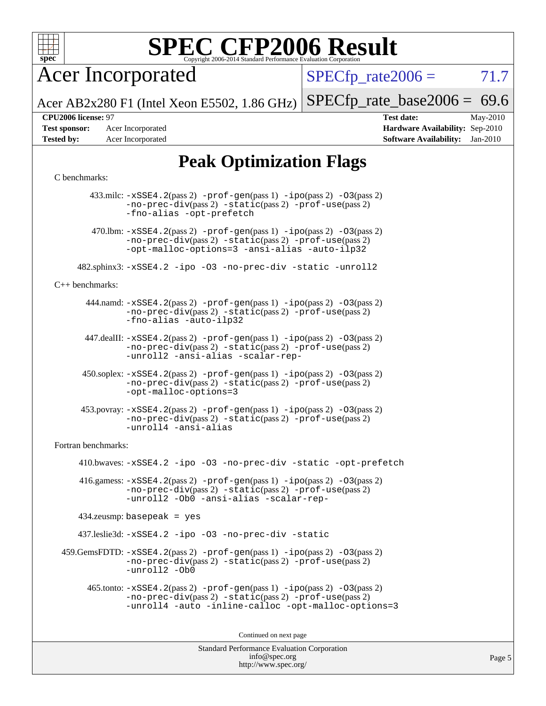

Acer Incorporated

 $SPECTp\_rate2006 = 71.7$ 

Acer AB2x280 F1 (Intel Xeon E5502, 1.86 GHz) [SPECfp\\_rate\\_base2006 =](http://www.spec.org/auto/cpu2006/Docs/result-fields.html#SPECfpratebase2006) 69.6

**[Test sponsor:](http://www.spec.org/auto/cpu2006/Docs/result-fields.html#Testsponsor)** Acer Incorporated **[Hardware Availability:](http://www.spec.org/auto/cpu2006/Docs/result-fields.html#HardwareAvailability)** Sep-2010

**[CPU2006 license:](http://www.spec.org/auto/cpu2006/Docs/result-fields.html#CPU2006license)** 97 **[Test date:](http://www.spec.org/auto/cpu2006/Docs/result-fields.html#Testdate)** May-2010 **[Tested by:](http://www.spec.org/auto/cpu2006/Docs/result-fields.html#Testedby)** Acer Incorporated **[Software Availability:](http://www.spec.org/auto/cpu2006/Docs/result-fields.html#SoftwareAvailability)** Jan-2010

## **[Peak Optimization Flags](http://www.spec.org/auto/cpu2006/Docs/result-fields.html#PeakOptimizationFlags)**

#### [C benchmarks](http://www.spec.org/auto/cpu2006/Docs/result-fields.html#Cbenchmarks):

 433.milc: [-xSSE4.2](http://www.spec.org/cpu2006/results/res2010q3/cpu2006-20100715-12404.flags.html#user_peakPASS2_CFLAGSPASS2_LDFLAGS433_milc_f-xSSE42_f91528193cf0b216347adb8b939d4107)(pass 2) [-prof-gen](http://www.spec.org/cpu2006/results/res2010q3/cpu2006-20100715-12404.flags.html#user_peakPASS1_CFLAGSPASS1_LDFLAGS433_milc_prof_gen_e43856698f6ca7b7e442dfd80e94a8fc)(pass 1) [-ipo](http://www.spec.org/cpu2006/results/res2010q3/cpu2006-20100715-12404.flags.html#user_peakPASS2_CFLAGSPASS2_LDFLAGS433_milc_f-ipo)(pass 2) [-O3](http://www.spec.org/cpu2006/results/res2010q3/cpu2006-20100715-12404.flags.html#user_peakPASS2_CFLAGSPASS2_LDFLAGS433_milc_f-O3)(pass 2) [-no-prec-div](http://www.spec.org/cpu2006/results/res2010q3/cpu2006-20100715-12404.flags.html#user_peakPASS2_CFLAGSPASS2_LDFLAGS433_milc_f-no-prec-div)(pass 2) [-static](http://www.spec.org/cpu2006/results/res2010q3/cpu2006-20100715-12404.flags.html#user_peakPASS2_CFLAGSPASS2_LDFLAGS433_milc_f-static)(pass 2) [-prof-use](http://www.spec.org/cpu2006/results/res2010q3/cpu2006-20100715-12404.flags.html#user_peakPASS2_CFLAGSPASS2_LDFLAGS433_milc_prof_use_bccf7792157ff70d64e32fe3e1250b55)(pass 2) [-fno-alias](http://www.spec.org/cpu2006/results/res2010q3/cpu2006-20100715-12404.flags.html#user_peakOPTIMIZE433_milc_f-no-alias_694e77f6c5a51e658e82ccff53a9e63a) [-opt-prefetch](http://www.spec.org/cpu2006/results/res2010q3/cpu2006-20100715-12404.flags.html#user_peakOPTIMIZE433_milc_f-opt-prefetch) 470.1bm:  $-xSSE4$ . 2(pass 2)  $-prof-gen(pass 1) -ipo(pass 2) -O3(pass 2)$  $-prof-gen(pass 1) -ipo(pass 2) -O3(pass 2)$  $-prof-gen(pass 1) -ipo(pass 2) -O3(pass 2)$  $-prof-gen(pass 1) -ipo(pass 2) -O3(pass 2)$  $-prof-gen(pass 1) -ipo(pass 2) -O3(pass 2)$  $-prof-gen(pass 1) -ipo(pass 2) -O3(pass 2)$ [-no-prec-div](http://www.spec.org/cpu2006/results/res2010q3/cpu2006-20100715-12404.flags.html#user_peakPASS2_CFLAGSPASS2_LDFLAGS470_lbm_f-no-prec-div)(pass 2) [-static](http://www.spec.org/cpu2006/results/res2010q3/cpu2006-20100715-12404.flags.html#user_peakPASS2_CFLAGSPASS2_LDFLAGS470_lbm_f-static)(pass 2) [-prof-use](http://www.spec.org/cpu2006/results/res2010q3/cpu2006-20100715-12404.flags.html#user_peakPASS2_CFLAGSPASS2_LDFLAGS470_lbm_prof_use_bccf7792157ff70d64e32fe3e1250b55)(pass 2) [-opt-malloc-options=3](http://www.spec.org/cpu2006/results/res2010q3/cpu2006-20100715-12404.flags.html#user_peakOPTIMIZE470_lbm_f-opt-malloc-options_13ab9b803cf986b4ee62f0a5998c2238) [-ansi-alias](http://www.spec.org/cpu2006/results/res2010q3/cpu2006-20100715-12404.flags.html#user_peakOPTIMIZE470_lbm_f-ansi-alias) [-auto-ilp32](http://www.spec.org/cpu2006/results/res2010q3/cpu2006-20100715-12404.flags.html#user_peakCOPTIMIZE470_lbm_f-auto-ilp32) 482.sphinx3: [-xSSE4.2](http://www.spec.org/cpu2006/results/res2010q3/cpu2006-20100715-12404.flags.html#user_peakOPTIMIZE482_sphinx3_f-xSSE42_f91528193cf0b216347adb8b939d4107) [-ipo](http://www.spec.org/cpu2006/results/res2010q3/cpu2006-20100715-12404.flags.html#user_peakOPTIMIZE482_sphinx3_f-ipo) [-O3](http://www.spec.org/cpu2006/results/res2010q3/cpu2006-20100715-12404.flags.html#user_peakOPTIMIZE482_sphinx3_f-O3) [-no-prec-div](http://www.spec.org/cpu2006/results/res2010q3/cpu2006-20100715-12404.flags.html#user_peakOPTIMIZE482_sphinx3_f-no-prec-div) [-static](http://www.spec.org/cpu2006/results/res2010q3/cpu2006-20100715-12404.flags.html#user_peakOPTIMIZE482_sphinx3_f-static) [-unroll2](http://www.spec.org/cpu2006/results/res2010q3/cpu2006-20100715-12404.flags.html#user_peakCOPTIMIZE482_sphinx3_f-unroll_784dae83bebfb236979b41d2422d7ec2) [C++ benchmarks:](http://www.spec.org/auto/cpu2006/Docs/result-fields.html#CXXbenchmarks) 444.namd: [-xSSE4.2](http://www.spec.org/cpu2006/results/res2010q3/cpu2006-20100715-12404.flags.html#user_peakPASS2_CXXFLAGSPASS2_LDFLAGS444_namd_f-xSSE42_f91528193cf0b216347adb8b939d4107)(pass 2) [-prof-gen](http://www.spec.org/cpu2006/results/res2010q3/cpu2006-20100715-12404.flags.html#user_peakPASS1_CXXFLAGSPASS1_LDFLAGS444_namd_prof_gen_e43856698f6ca7b7e442dfd80e94a8fc)(pass 1) [-ipo](http://www.spec.org/cpu2006/results/res2010q3/cpu2006-20100715-12404.flags.html#user_peakPASS2_CXXFLAGSPASS2_LDFLAGS444_namd_f-ipo)(pass 2) [-O3](http://www.spec.org/cpu2006/results/res2010q3/cpu2006-20100715-12404.flags.html#user_peakPASS2_CXXFLAGSPASS2_LDFLAGS444_namd_f-O3)(pass 2) [-no-prec-div](http://www.spec.org/cpu2006/results/res2010q3/cpu2006-20100715-12404.flags.html#user_peakPASS2_CXXFLAGSPASS2_LDFLAGS444_namd_f-no-prec-div)(pass 2) [-static](http://www.spec.org/cpu2006/results/res2010q3/cpu2006-20100715-12404.flags.html#user_peakPASS2_CXXFLAGSPASS2_LDFLAGS444_namd_f-static)(pass 2) [-prof-use](http://www.spec.org/cpu2006/results/res2010q3/cpu2006-20100715-12404.flags.html#user_peakPASS2_CXXFLAGSPASS2_LDFLAGS444_namd_prof_use_bccf7792157ff70d64e32fe3e1250b55)(pass 2) [-fno-alias](http://www.spec.org/cpu2006/results/res2010q3/cpu2006-20100715-12404.flags.html#user_peakCXXOPTIMIZE444_namd_f-no-alias_694e77f6c5a51e658e82ccff53a9e63a) [-auto-ilp32](http://www.spec.org/cpu2006/results/res2010q3/cpu2006-20100715-12404.flags.html#user_peakCXXOPTIMIZE444_namd_f-auto-ilp32) 447.dealII: [-xSSE4.2](http://www.spec.org/cpu2006/results/res2010q3/cpu2006-20100715-12404.flags.html#user_peakPASS2_CXXFLAGSPASS2_LDFLAGS447_dealII_f-xSSE42_f91528193cf0b216347adb8b939d4107)(pass 2) [-prof-gen](http://www.spec.org/cpu2006/results/res2010q3/cpu2006-20100715-12404.flags.html#user_peakPASS1_CXXFLAGSPASS1_LDFLAGS447_dealII_prof_gen_e43856698f6ca7b7e442dfd80e94a8fc)(pass 1) [-ipo](http://www.spec.org/cpu2006/results/res2010q3/cpu2006-20100715-12404.flags.html#user_peakPASS2_CXXFLAGSPASS2_LDFLAGS447_dealII_f-ipo)(pass 2) [-O3](http://www.spec.org/cpu2006/results/res2010q3/cpu2006-20100715-12404.flags.html#user_peakPASS2_CXXFLAGSPASS2_LDFLAGS447_dealII_f-O3)(pass 2) [-no-prec-div](http://www.spec.org/cpu2006/results/res2010q3/cpu2006-20100715-12404.flags.html#user_peakPASS2_CXXFLAGSPASS2_LDFLAGS447_dealII_f-no-prec-div)(pass 2) [-static](http://www.spec.org/cpu2006/results/res2010q3/cpu2006-20100715-12404.flags.html#user_peakPASS2_CXXFLAGSPASS2_LDFLAGS447_dealII_f-static)(pass 2) [-prof-use](http://www.spec.org/cpu2006/results/res2010q3/cpu2006-20100715-12404.flags.html#user_peakPASS2_CXXFLAGSPASS2_LDFLAGS447_dealII_prof_use_bccf7792157ff70d64e32fe3e1250b55)(pass 2) [-unroll2](http://www.spec.org/cpu2006/results/res2010q3/cpu2006-20100715-12404.flags.html#user_peakCXXOPTIMIZE447_dealII_f-unroll_784dae83bebfb236979b41d2422d7ec2) [-ansi-alias](http://www.spec.org/cpu2006/results/res2010q3/cpu2006-20100715-12404.flags.html#user_peakCXXOPTIMIZE447_dealII_f-ansi-alias) [-scalar-rep-](http://www.spec.org/cpu2006/results/res2010q3/cpu2006-20100715-12404.flags.html#user_peakCXXOPTIMIZE447_dealII_f-disablescalarrep_abbcad04450fb118e4809c81d83c8a1d) 450.soplex: [-xSSE4.2](http://www.spec.org/cpu2006/results/res2010q3/cpu2006-20100715-12404.flags.html#user_peakPASS2_CXXFLAGSPASS2_LDFLAGS450_soplex_f-xSSE42_f91528193cf0b216347adb8b939d4107)(pass 2) [-prof-gen](http://www.spec.org/cpu2006/results/res2010q3/cpu2006-20100715-12404.flags.html#user_peakPASS1_CXXFLAGSPASS1_LDFLAGS450_soplex_prof_gen_e43856698f6ca7b7e442dfd80e94a8fc)(pass 1) [-ipo](http://www.spec.org/cpu2006/results/res2010q3/cpu2006-20100715-12404.flags.html#user_peakPASS2_CXXFLAGSPASS2_LDFLAGS450_soplex_f-ipo)(pass 2) [-O3](http://www.spec.org/cpu2006/results/res2010q3/cpu2006-20100715-12404.flags.html#user_peakPASS2_CXXFLAGSPASS2_LDFLAGS450_soplex_f-O3)(pass 2) [-no-prec-div](http://www.spec.org/cpu2006/results/res2010q3/cpu2006-20100715-12404.flags.html#user_peakPASS2_CXXFLAGSPASS2_LDFLAGS450_soplex_f-no-prec-div)(pass 2) [-static](http://www.spec.org/cpu2006/results/res2010q3/cpu2006-20100715-12404.flags.html#user_peakPASS2_CXXFLAGSPASS2_LDFLAGS450_soplex_f-static)(pass 2) [-prof-use](http://www.spec.org/cpu2006/results/res2010q3/cpu2006-20100715-12404.flags.html#user_peakPASS2_CXXFLAGSPASS2_LDFLAGS450_soplex_prof_use_bccf7792157ff70d64e32fe3e1250b55)(pass 2) [-opt-malloc-options=3](http://www.spec.org/cpu2006/results/res2010q3/cpu2006-20100715-12404.flags.html#user_peakOPTIMIZE450_soplex_f-opt-malloc-options_13ab9b803cf986b4ee62f0a5998c2238) 453.povray: [-xSSE4.2](http://www.spec.org/cpu2006/results/res2010q3/cpu2006-20100715-12404.flags.html#user_peakPASS2_CXXFLAGSPASS2_LDFLAGS453_povray_f-xSSE42_f91528193cf0b216347adb8b939d4107)(pass 2) [-prof-gen](http://www.spec.org/cpu2006/results/res2010q3/cpu2006-20100715-12404.flags.html#user_peakPASS1_CXXFLAGSPASS1_LDFLAGS453_povray_prof_gen_e43856698f6ca7b7e442dfd80e94a8fc)(pass 1) [-ipo](http://www.spec.org/cpu2006/results/res2010q3/cpu2006-20100715-12404.flags.html#user_peakPASS2_CXXFLAGSPASS2_LDFLAGS453_povray_f-ipo)(pass 2) [-O3](http://www.spec.org/cpu2006/results/res2010q3/cpu2006-20100715-12404.flags.html#user_peakPASS2_CXXFLAGSPASS2_LDFLAGS453_povray_f-O3)(pass 2) [-no-prec-div](http://www.spec.org/cpu2006/results/res2010q3/cpu2006-20100715-12404.flags.html#user_peakPASS2_CXXFLAGSPASS2_LDFLAGS453_povray_f-no-prec-div)(pass 2) [-static](http://www.spec.org/cpu2006/results/res2010q3/cpu2006-20100715-12404.flags.html#user_peakPASS2_CXXFLAGSPASS2_LDFLAGS453_povray_f-static)(pass 2) [-prof-use](http://www.spec.org/cpu2006/results/res2010q3/cpu2006-20100715-12404.flags.html#user_peakPASS2_CXXFLAGSPASS2_LDFLAGS453_povray_prof_use_bccf7792157ff70d64e32fe3e1250b55)(pass 2) [-unroll4](http://www.spec.org/cpu2006/results/res2010q3/cpu2006-20100715-12404.flags.html#user_peakCXXOPTIMIZE453_povray_f-unroll_4e5e4ed65b7fd20bdcd365bec371b81f) [-ansi-alias](http://www.spec.org/cpu2006/results/res2010q3/cpu2006-20100715-12404.flags.html#user_peakCXXOPTIMIZE453_povray_f-ansi-alias) [Fortran benchmarks](http://www.spec.org/auto/cpu2006/Docs/result-fields.html#Fortranbenchmarks): 410.bwaves: [-xSSE4.2](http://www.spec.org/cpu2006/results/res2010q3/cpu2006-20100715-12404.flags.html#user_peakOPTIMIZE410_bwaves_f-xSSE42_f91528193cf0b216347adb8b939d4107) [-ipo](http://www.spec.org/cpu2006/results/res2010q3/cpu2006-20100715-12404.flags.html#user_peakOPTIMIZE410_bwaves_f-ipo) [-O3](http://www.spec.org/cpu2006/results/res2010q3/cpu2006-20100715-12404.flags.html#user_peakOPTIMIZE410_bwaves_f-O3) [-no-prec-div](http://www.spec.org/cpu2006/results/res2010q3/cpu2006-20100715-12404.flags.html#user_peakOPTIMIZE410_bwaves_f-no-prec-div) [-static](http://www.spec.org/cpu2006/results/res2010q3/cpu2006-20100715-12404.flags.html#user_peakOPTIMIZE410_bwaves_f-static) [-opt-prefetch](http://www.spec.org/cpu2006/results/res2010q3/cpu2006-20100715-12404.flags.html#user_peakOPTIMIZE410_bwaves_f-opt-prefetch) 416.gamess:  $-xSSE4$ . 2(pass 2)  $-prof-gen(pass 1) -ipo(pass 2) -O3(pass 2)$  $-prof-gen(pass 1) -ipo(pass 2) -O3(pass 2)$  $-prof-gen(pass 1) -ipo(pass 2) -O3(pass 2)$  $-prof-gen(pass 1) -ipo(pass 2) -O3(pass 2)$  $-prof-gen(pass 1) -ipo(pass 2) -O3(pass 2)$  $-prof-gen(pass 1) -ipo(pass 2) -O3(pass 2)$ [-no-prec-div](http://www.spec.org/cpu2006/results/res2010q3/cpu2006-20100715-12404.flags.html#user_peakPASS2_FFLAGSPASS2_LDFLAGS416_gamess_f-no-prec-div)(pass 2) [-static](http://www.spec.org/cpu2006/results/res2010q3/cpu2006-20100715-12404.flags.html#user_peakPASS2_FFLAGSPASS2_LDFLAGS416_gamess_f-static)(pass 2) [-prof-use](http://www.spec.org/cpu2006/results/res2010q3/cpu2006-20100715-12404.flags.html#user_peakPASS2_FFLAGSPASS2_LDFLAGS416_gamess_prof_use_bccf7792157ff70d64e32fe3e1250b55)(pass 2) [-unroll2](http://www.spec.org/cpu2006/results/res2010q3/cpu2006-20100715-12404.flags.html#user_peakOPTIMIZE416_gamess_f-unroll_784dae83bebfb236979b41d2422d7ec2) [-Ob0](http://www.spec.org/cpu2006/results/res2010q3/cpu2006-20100715-12404.flags.html#user_peakOPTIMIZE416_gamess_f-Ob_n_fbe6f6428adb7d4b74b1e99bb2444c2d) [-ansi-alias](http://www.spec.org/cpu2006/results/res2010q3/cpu2006-20100715-12404.flags.html#user_peakOPTIMIZE416_gamess_f-ansi-alias) [-scalar-rep-](http://www.spec.org/cpu2006/results/res2010q3/cpu2006-20100715-12404.flags.html#user_peakOPTIMIZE416_gamess_f-disablescalarrep_abbcad04450fb118e4809c81d83c8a1d) 434.zeusmp: basepeak = yes 437.leslie3d: [-xSSE4.2](http://www.spec.org/cpu2006/results/res2010q3/cpu2006-20100715-12404.flags.html#user_peakOPTIMIZE437_leslie3d_f-xSSE42_f91528193cf0b216347adb8b939d4107) [-ipo](http://www.spec.org/cpu2006/results/res2010q3/cpu2006-20100715-12404.flags.html#user_peakOPTIMIZE437_leslie3d_f-ipo) [-O3](http://www.spec.org/cpu2006/results/res2010q3/cpu2006-20100715-12404.flags.html#user_peakOPTIMIZE437_leslie3d_f-O3) [-no-prec-div](http://www.spec.org/cpu2006/results/res2010q3/cpu2006-20100715-12404.flags.html#user_peakOPTIMIZE437_leslie3d_f-no-prec-div) [-static](http://www.spec.org/cpu2006/results/res2010q3/cpu2006-20100715-12404.flags.html#user_peakOPTIMIZE437_leslie3d_f-static)  $459$ .GemsFDTD:  $-xSSE4$ .  $2(pass 2)$  [-prof-gen](http://www.spec.org/cpu2006/results/res2010q3/cpu2006-20100715-12404.flags.html#user_peakPASS1_FFLAGSPASS1_LDFLAGS459_GemsFDTD_prof_gen_e43856698f6ca7b7e442dfd80e94a8fc)(pass 1) [-ipo](http://www.spec.org/cpu2006/results/res2010q3/cpu2006-20100715-12404.flags.html#user_peakPASS2_FFLAGSPASS2_LDFLAGS459_GemsFDTD_f-ipo)(pass 2) -03(pass 2) [-no-prec-div](http://www.spec.org/cpu2006/results/res2010q3/cpu2006-20100715-12404.flags.html#user_peakPASS2_FFLAGSPASS2_LDFLAGS459_GemsFDTD_f-no-prec-div)(pass 2) [-static](http://www.spec.org/cpu2006/results/res2010q3/cpu2006-20100715-12404.flags.html#user_peakPASS2_FFLAGSPASS2_LDFLAGS459_GemsFDTD_f-static)(pass 2) [-prof-use](http://www.spec.org/cpu2006/results/res2010q3/cpu2006-20100715-12404.flags.html#user_peakPASS2_FFLAGSPASS2_LDFLAGS459_GemsFDTD_prof_use_bccf7792157ff70d64e32fe3e1250b55)(pass 2) [-unroll2](http://www.spec.org/cpu2006/results/res2010q3/cpu2006-20100715-12404.flags.html#user_peakOPTIMIZE459_GemsFDTD_f-unroll_784dae83bebfb236979b41d2422d7ec2) [-Ob0](http://www.spec.org/cpu2006/results/res2010q3/cpu2006-20100715-12404.flags.html#user_peakOPTIMIZE459_GemsFDTD_f-Ob_n_fbe6f6428adb7d4b74b1e99bb2444c2d) 465.tonto: [-xSSE4.2](http://www.spec.org/cpu2006/results/res2010q3/cpu2006-20100715-12404.flags.html#user_peakPASS2_FFLAGSPASS2_LDFLAGS465_tonto_f-xSSE42_f91528193cf0b216347adb8b939d4107)(pass 2) [-prof-gen](http://www.spec.org/cpu2006/results/res2010q3/cpu2006-20100715-12404.flags.html#user_peakPASS1_FFLAGSPASS1_LDFLAGS465_tonto_prof_gen_e43856698f6ca7b7e442dfd80e94a8fc)(pass 1) [-ipo](http://www.spec.org/cpu2006/results/res2010q3/cpu2006-20100715-12404.flags.html#user_peakPASS2_FFLAGSPASS2_LDFLAGS465_tonto_f-ipo)(pass 2) [-O3](http://www.spec.org/cpu2006/results/res2010q3/cpu2006-20100715-12404.flags.html#user_peakPASS2_FFLAGSPASS2_LDFLAGS465_tonto_f-O3)(pass 2) [-no-prec-div](http://www.spec.org/cpu2006/results/res2010q3/cpu2006-20100715-12404.flags.html#user_peakPASS2_FFLAGSPASS2_LDFLAGS465_tonto_f-no-prec-div)(pass 2) [-static](http://www.spec.org/cpu2006/results/res2010q3/cpu2006-20100715-12404.flags.html#user_peakPASS2_FFLAGSPASS2_LDFLAGS465_tonto_f-static)(pass 2) [-prof-use](http://www.spec.org/cpu2006/results/res2010q3/cpu2006-20100715-12404.flags.html#user_peakPASS2_FFLAGSPASS2_LDFLAGS465_tonto_prof_use_bccf7792157ff70d64e32fe3e1250b55)(pass 2) [-unroll4](http://www.spec.org/cpu2006/results/res2010q3/cpu2006-20100715-12404.flags.html#user_peakOPTIMIZE465_tonto_f-unroll_4e5e4ed65b7fd20bdcd365bec371b81f) [-auto](http://www.spec.org/cpu2006/results/res2010q3/cpu2006-20100715-12404.flags.html#user_peakOPTIMIZE465_tonto_f-auto) [-inline-calloc](http://www.spec.org/cpu2006/results/res2010q3/cpu2006-20100715-12404.flags.html#user_peakOPTIMIZE465_tonto_f-inline-calloc) [-opt-malloc-options=3](http://www.spec.org/cpu2006/results/res2010q3/cpu2006-20100715-12404.flags.html#user_peakOPTIMIZE465_tonto_f-opt-malloc-options_13ab9b803cf986b4ee62f0a5998c2238) Continued on next page